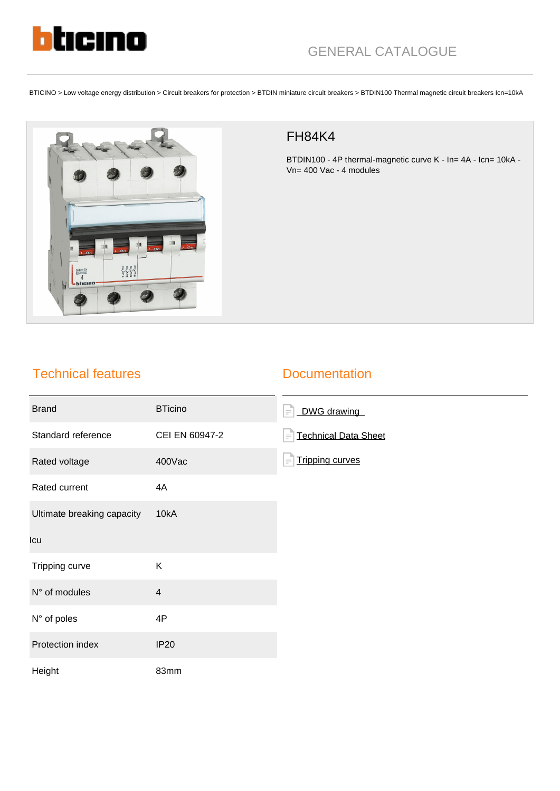

BTICINO > Low voltage energy distribution > Circuit breakers for protection > BTDIN miniature circuit breakers > BTDIN100 Thermal magnetic circuit breakers Icn=10kA



## FH84K4

BTDIN100 - 4P thermal-magnetic curve K - In= 4A - Icn= 10kA -Vn= 400 Vac - 4 modules

## Technical features

## **Documentation**

| <b>Brand</b>               | <b>BTicino</b> | DWG drawing<br>$\equiv$                 |
|----------------------------|----------------|-----------------------------------------|
| Standard reference         | CEI EN 60947-2 | <b>Technical Data Sheet</b><br>$\equiv$ |
| Rated voltage              | 400Vac         | <b>Tripping curves</b><br>$\equiv$      |
| Rated current              | 4A             |                                         |
| Ultimate breaking capacity | 10kA           |                                         |
| Icu                        |                |                                         |
| Tripping curve             | Κ              |                                         |
| N° of modules              | $\overline{4}$ |                                         |
| N° of poles                | 4P             |                                         |
| Protection index           | <b>IP20</b>    |                                         |
| Height                     | 83mm           |                                         |